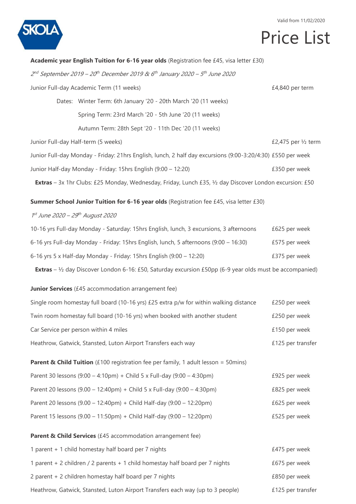

#### Valid from 11/02/2020

# Price List

|                                  | Academic year English Tuition for 6-16 year olds (Registration fee £45, visa letter £30)                                  |                     |
|----------------------------------|---------------------------------------------------------------------------------------------------------------------------|---------------------|
|                                  | $2nd$ September 2019 – 20 <sup>th</sup> December 2019 & 6 <sup>th</sup> January 2020 – 5 <sup>th</sup> June 2020          |                     |
|                                  | Junior Full-day Academic Term (11 weeks)                                                                                  | £4,840 per term     |
|                                  | Dates: Winter Term: 6th January '20 - 20th March '20 (11 weeks)                                                           |                     |
|                                  | Spring Term: 23rd March '20 - 5th June '20 (11 weeks)                                                                     |                     |
|                                  | Autumn Term: 28th Sept '20 - 11th Dec '20 (11 weeks)                                                                      |                     |
|                                  | Junior Full-day Half-term (5 weeks)                                                                                       | £2,475 per 1/2 term |
|                                  | Junior Full-day Monday - Friday: 21hrs English, lunch, 2 half day excursions (9:00-3:20/4:30) £550 per week               |                     |
|                                  | Junior Half-day Monday - Friday: 15hrs English (9:00 - 12:20)                                                             | £350 per week       |
|                                  | <b>Extras</b> - 3x 1hr Clubs: £25 Monday, Wednesday, Friday, Lunch £35, $\frac{1}{2}$ day Discover London excursion: £50  |                     |
|                                  | Summer School Junior Tuition for 6-16 year olds (Registration fee £45, visa letter £30)                                   |                     |
| 1st June 2020 - 29th August 2020 |                                                                                                                           |                     |
|                                  | 10-16 yrs Full-day Monday - Saturday: 15hrs English, lunch, 3 excursions, 3 afternoons                                    | £625 per week       |
|                                  | 6-16 yrs Full-day Monday - Friday: 15hrs English, lunch, 5 afternoons (9:00 - 16:30)                                      | £575 per week       |
|                                  | 6-16 yrs 5 x Half-day Monday - Friday: 15hrs English (9:00 – 12:20)                                                       | £375 per week       |
|                                  | <b>Extras</b> – $\frac{1}{2}$ day Discover London 6-16: £50, Saturday excursion £50pp (6-9 year olds must be accompanied) |                     |
|                                  | Junior Services (£45 accommodation arrangement fee)                                                                       |                     |
|                                  | Single room homestay full board (10-16 yrs) £25 extra p/w for within walking distance                                     | £250 per week       |
|                                  | Twin room homestay full board (10-16 yrs) when booked with another student                                                | £250 per week       |
|                                  | Car Service per person within 4 miles                                                                                     | £150 per week       |
|                                  | Heathrow, Gatwick, Stansted, Luton Airport Transfers each way                                                             | £125 per transfer   |
|                                  | <b>Parent &amp; Child Tuition</b> (£100 registration fee per family, 1 adult lesson = 50mins)                             |                     |
|                                  | Parent 30 lessons $(9:00 - 4:10 \text{pm})$ + Child 5 x Full-day $(9:00 - 4:30 \text{pm})$                                | £925 per week       |
|                                  | Parent 20 lessons $(9.00 - 12:40 \text{pm}) +$ Child 5 x Full-day $(9:00 - 4:30 \text{pm})$                               | £825 per week       |
|                                  | Parent 20 lessons (9.00 - 12:40pm) + Child Half-day (9:00 - 12:20pm)                                                      | £625 per week       |
|                                  | Parent 15 lessons (9.00 - 11:50pm) + Child Half-day (9:00 - 12:20pm)                                                      | £525 per week       |
|                                  | Parent & Child Services (£45 accommodation arrangement fee)                                                               |                     |
|                                  | 1 parent + 1 child homestay half board per 7 nights                                                                       | £475 per week       |
|                                  | 1 parent + 2 children / 2 parents + 1 child homestay half board per 7 nights                                              | £675 per week       |
|                                  | 2 parent + 2 children homestay half board per 7 nights                                                                    | £850 per week       |
|                                  | Heathrow, Gatwick, Stansted, Luton Airport Transfers each way (up to 3 people)                                            | £125 per transfer   |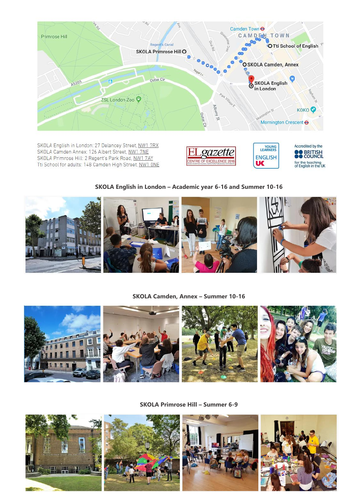

SKOLA English in London: 27 Delancey Street, NW1 7RX SKOLA Camden Annex: 126 Albert Street, NW1 7NE SKOLA Primrose Hill: 2 Regent's Park Road, NW1 7AY Tti School for adults: 148 Camden High Street, NW1 ONE





YOUNG<br>LEARNERS

### **SKOLA English in London – Academic year 6-16 and Summer 10-16**



#### **SKOLA Camden, Annex – Summer 10-16**



**SKOLA Primrose Hill – Summer 6-9**

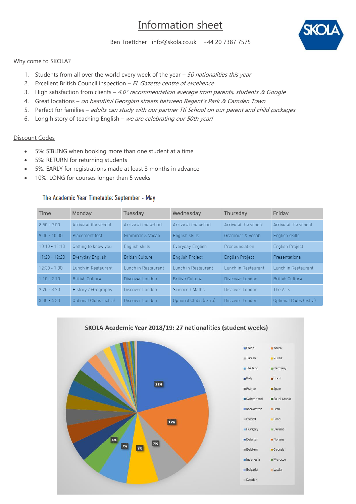# Information sheet



Ben Toettcher [info@skola.co.uk](mailto:info@skola.co.uk) +44 20 7387 7575

#### Why come to SKOLA?

- 1. Students from all over the world every week of the year  $-50$  nationalities this year
- 2. Excellent British Council inspection EL Gazette centre of excellence
- 3. High satisfaction from clients  $4.0*$  recommendation average from parents, students & Google
- 4. Great locations on beautiful Georgian streets between Regent's Park & Camden Town
- 5. Perfect for families adults can study with our partner Tti School on our parent and child packages
- 6. Long history of teaching English we are celebrating our 50th year!

#### Discount Codes

- 5%: SIBLING when booking more than one student at a time
- 5%: RETURN for returning students
- 5%: EARLY for registrations made at least 3 months in advance
- 10%: LONG for courses longer than 5 weeks

#### The Academic Year Timetable: September - May

| Time            | Monday                 | Tuesday                | Wednesday              | Thursday               | Friday                 |
|-----------------|------------------------|------------------------|------------------------|------------------------|------------------------|
| $8:50 - 9:00$   | Arrive at the school   | Arrive at the school   | Arrive at the school   | Arrive at the school   | Arrive at the school   |
| $9:00 - 10:00$  | Placement test         | Grammar & Vocab        | English skills         | Grammar & Vocab        | English skills         |
| $10:10 - 11:10$ | Getting to know you    | English skills         | Everyday English       | Pronounciation         | <b>English Project</b> |
| $11:20 - 12:20$ | Everyday English       | <b>British Culture</b> | <b>English Project</b> | <b>English Project</b> | Presentations          |
| $12:30 - 1:00$  | Lunch in Restaurant    | Lunch in Restaurant    | Lunch in Restaurant    | Lunch in Restaurant    | Lunch in Restaurant    |
| $1:10 - 2:10$   | <b>British Culture</b> | Discover London        | <b>British Culture</b> | Discover London        | <b>British Culture</b> |
| $2:20 - 3:20$   | History / Geography    | Discover London        | Science / Maths        | Discover London        | The Arts               |
| $3:30 - 4:30$   | Optional Clubs (extra) | Discover London        | Optional Clubs (extra) | Discover London        | Optional Clubs (extra) |